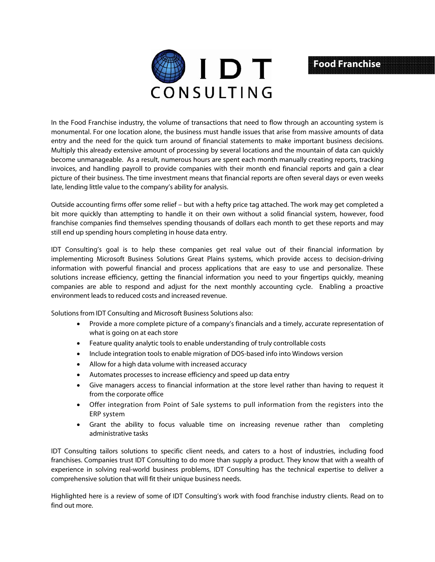

## **Food Franchise**

In the Food Franchise industry, the volume of transactions that need to flow through an accounting system is monumental. For one location alone, the business must handle issues that arise from massive amounts of data entry and the need for the quick turn around of financial statements to make important business decisions. Multiply this already extensive amount of processing by several locations and the mountain of data can quickly become unmanageable. As a result, numerous hours are spent each month manually creating reports, tracking invoices, and handling payroll to provide companies with their month end financial reports and gain a clear picture of their business. The time investment means that financial reports are often several days or even weeks late, lending little value to the company's ability for analysis.

Outside accounting firms offer some relief – but with a hefty price tag attached. The work may get completed a bit more quickly than attempting to handle it on their own without a solid financial system, however, food franchise companies find themselves spending thousands of dollars each month to get these reports and may still end up spending hours completing in house data entry.

IDT Consulting's goal is to help these companies get real value out of their financial information by implementing Microsoft Business Solutions Great Plains systems, which provide access to decision-driving information with powerful financial and process applications that are easy to use and personalize. These solutions increase efficiency, getting the financial information you need to your fingertips quickly, meaning companies are able to respond and adjust for the next monthly accounting cycle. Enabling a proactive environment leads to reduced costs and increased revenue.

Solutions from IDT Consulting and Microsoft Business Solutions also:

- Provide a more complete picture of a company's financials and a timely, accurate representation of what is going on at each store
- Feature quality analytic tools to enable understanding of truly controllable costs
- Include integration tools to enable migration of DOS-based info into Windows version
- Allow for a high data volume with increased accuracy
- Automates processes to increase efficiency and speed up data entry
- Give managers access to financial information at the store level rather than having to request it from the corporate office
- Offer integration from Point of Sale systems to pull information from the registers into the ERP system
- Grant the ability to focus valuable time on increasing revenue rather than completing administrative tasks

IDT Consulting tailors solutions to specific client needs, and caters to a host of industries, including food franchises. Companies trust IDT Consulting to do more than supply a product. They know that with a wealth of experience in solving real-world business problems, IDT Consulting has the technical expertise to deliver a comprehensive solution that will fit their unique business needs.

Highlighted here is a review of some of IDT Consulting's work with food franchise industry clients. Read on to find out more.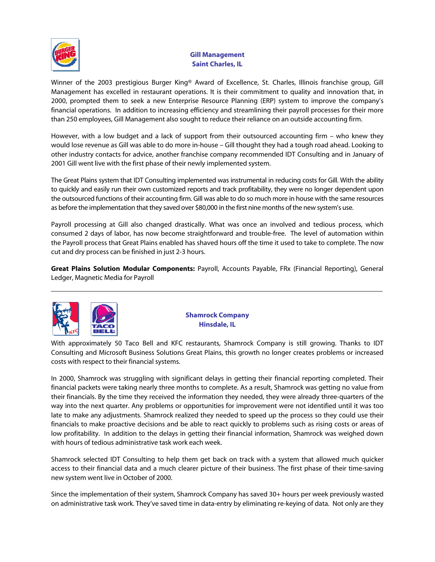

## **Gill Management Saint Charles, IL**

Winner of the 2003 prestigious Burger King® Award of Excellence, St. Charles, Illinois franchise group, Gill Management has excelled in restaurant operations. It is their commitment to quality and innovation that, in 2000, prompted them to seek a new Enterprise Resource Planning (ERP) system to improve the company's financial operations. In addition to increasing efficiency and streamlining their payroll processes for their more than 250 employees, Gill Management also sought to reduce their reliance on an outside accounting firm.

However, with a low budget and a lack of support from their outsourced accounting firm – who knew they would lose revenue as Gill was able to do more in-house – Gill thought they had a tough road ahead. Looking to other industry contacts for advice, another franchise company recommended IDT Consulting and in January of 2001 Gill went live with the first phase of their newly implemented system.

The Great Plains system that IDT Consulting implemented was instrumental in reducing costs for Gill. With the ability to quickly and easily run their own customized reports and track profitability, they were no longer dependent upon the outsourced functions of their accounting firm. Gill was able to do so much more in house with the same resources as before the implementation that they saved over \$80,000 in the first nine months of the new system's use.

Payroll processing at Gill also changed drastically. What was once an involved and tedious process, which consumed 2 days of labor, has now become straightforward and trouble-free. The level of automation within the Payroll process that Great Plains enabled has shaved hours off the time it used to take to complete. The now cut and dry process can be finished in just 2-3 hours.

**Great Plains Solution Modular Components:** Payroll, Accounts Payable, FRx (Financial Reporting), General Ledger, Magnetic Media for Payroll



**Shamrock Company Hinsdale, IL** 

With approximately 50 Taco Bell and KFC restaurants, Shamrock Company is still growing. Thanks to IDT Consulting and Microsoft Business Solutions Great Plains, this growth no longer creates problems or increased costs with respect to their financial systems.

In 2000, Shamrock was struggling with significant delays in getting their financial reporting completed. Their financial packets were taking nearly three months to complete. As a result, Shamrock was getting no value from their financials. By the time they received the information they needed, they were already three-quarters of the way into the next quarter. Any problems or opportunities for improvement were not identified until it was too late to make any adjustments. Shamrock realized they needed to speed up the process so they could use their financials to make proactive decisions and be able to react quickly to problems such as rising costs or areas of low profitability. In addition to the delays in getting their financial information, Shamrock was weighed down with hours of tedious administrative task work each week.

Shamrock selected IDT Consulting to help them get back on track with a system that allowed much quicker access to their financial data and a much clearer picture of their business. The first phase of their time-saving new system went live in October of 2000.

Since the implementation of their system, Shamrock Company has saved 30+ hours per week previously wasted on administrative task work. They've saved time in data-entry by eliminating re-keying of data. Not only are they